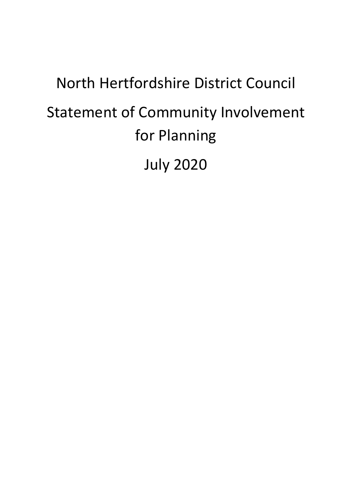# North Hertfordshire District Council Statement of Community Involvement for Planning July 2020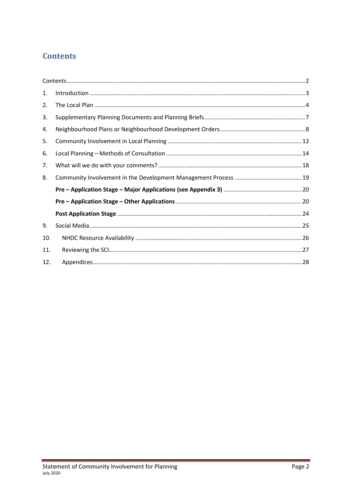# **Contents**

| 1.  |  |
|-----|--|
| 2.  |  |
| 3.  |  |
| 4.  |  |
| 5.  |  |
| 6.  |  |
| 7.  |  |
| 8.  |  |
|     |  |
|     |  |
|     |  |
| 9.  |  |
| 10. |  |
| 11. |  |
| 12. |  |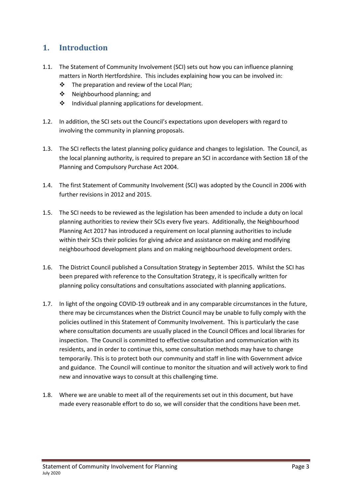## 1. Introduction

- 1.1. The Statement of Community Involvement (SCI) sets out how you can influence planning matters in North Hertfordshire. This includes explaining how you can be involved in:
	- The preparation and review of the Local Plan;
	- ❖ Neighbourhood planning; and
	- $\cdot \cdot$  Individual planning applications for development.
- 1.2. In addition, the SCI sets out the Council's expectations upon developers with regard to involving the community in planning proposals.
- 1.3. The SCI reflects the latest planning policy guidance and changes to legislation. The Council, as the local planning authority, is required to prepare an SCI in accordance with Section 18 of the Planning and Compulsory Purchase Act 2004.
- 1.4. The first Statement of Community Involvement (SCI) was adopted by the Council in 2006 with further revisions in 2012 and 2015.
- 1.5. The SCI needs to be reviewed as the legislation has been amended to include a duty on local planning authorities to review their SCIs every five years. Additionally, the Neighbourhood Planning Act 2017 has introduced a requirement on local planning authorities to include within their SCIs their policies for giving advice and assistance on making and modifying neighbourhood development plans and on making neighbourhood development orders.
- 1.6. The District Council published a Consultation Strategy in September 2015. Whilst the SCI has been prepared with reference to the Consultation Strategy, it is specifically written for planning policy consultations and consultations associated with planning applications.
- 1.7. In light of the ongoing COVID‐19 outbreak and in any comparable circumstances in the future, there may be circumstances when the District Council may be unable to fully comply with the policies outlined in this Statement of Community Involvement. This is particularly the case where consultation documents are usually placed in the Council Offices and local libraries for inspection. The Council is committed to effective consultation and communication with its residents, and in order to continue this, some consultation methods may have to change temporarily. This is to protect both our community and staff in line with Government advice and guidance. The Council will continue to monitor the situation and will actively work to find new and innovative ways to consult at this challenging time.
- 1.8. Where we are unable to meet all of the requirements set out in this document, but have made every reasonable effort to do so, we will consider that the conditions have been met.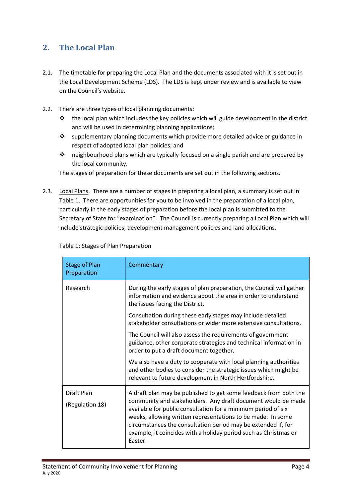## 2. The Local Plan

- 2.1. The timetable for preparing the Local Plan and the documents associated with it is set out in the Local Development Scheme (LDS). The LDS is kept under review and is available to view on the Council's website.
- 2.2. There are three types of local planning documents:
	- $\cdot \cdot$  the local plan which includes the key policies which will guide development in the district and will be used in determining planning applications;
	- $\cdot \cdot$  supplementary planning documents which provide more detailed advice or guidance in respect of adopted local plan policies; and
	- neighbourhood plans which are typically focused on a single parish and are prepared by the local community.

The stages of preparation for these documents are set out in the following sections.

2.3. Local Plans. There are a number of stages in preparing a local plan, a summary is set out in Table 1. There are opportunities for you to be involved in the preparation of a local plan, particularly in the early stages of preparation before the local plan is submitted to the Secretary of State for "examination". The Council is currently preparing a Local Plan which will include strategic policies, development management policies and land allocations.

| <b>Stage of Plan</b><br>Preparation | Commentary                                                                                                                                                                                                                                                                                                                                                                                                       |
|-------------------------------------|------------------------------------------------------------------------------------------------------------------------------------------------------------------------------------------------------------------------------------------------------------------------------------------------------------------------------------------------------------------------------------------------------------------|
| Research                            | During the early stages of plan preparation, the Council will gather<br>information and evidence about the area in order to understand<br>the issues facing the District.                                                                                                                                                                                                                                        |
|                                     | Consultation during these early stages may include detailed<br>stakeholder consultations or wider more extensive consultations.                                                                                                                                                                                                                                                                                  |
|                                     | The Council will also assess the requirements of government<br>guidance, other corporate strategies and technical information in<br>order to put a draft document together.                                                                                                                                                                                                                                      |
|                                     | We also have a duty to cooperate with local planning authorities<br>and other bodies to consider the strategic issues which might be<br>relevant to future development in North Hertfordshire.                                                                                                                                                                                                                   |
| Draft Plan<br>(Regulation 18)       | A draft plan may be published to get some feedback from both the<br>community and stakeholders. Any draft document would be made<br>available for public consultation for a minimum period of six<br>weeks, allowing written representations to be made. In some<br>circumstances the consultation period may be extended if, for<br>example, it coincides with a holiday period such as Christmas or<br>Easter. |

Table 1: Stages of Plan Preparation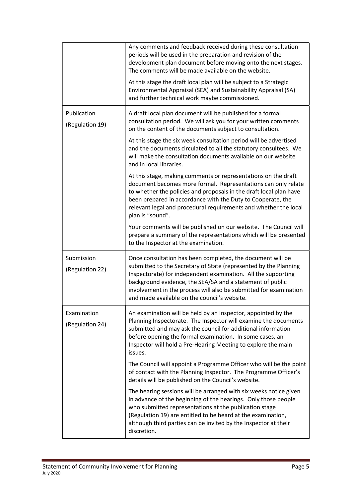|                                | Any comments and feedback received during these consultation<br>periods will be used in the preparation and revision of the<br>development plan document before moving onto the next stages.<br>The comments will be made available on the website.<br>At this stage the draft local plan will be subject to a Strategic                                                          |
|--------------------------------|-----------------------------------------------------------------------------------------------------------------------------------------------------------------------------------------------------------------------------------------------------------------------------------------------------------------------------------------------------------------------------------|
|                                | Environmental Appraisal (SEA) and Sustainability Appraisal (SA)<br>and further technical work maybe commissioned.                                                                                                                                                                                                                                                                 |
| Publication<br>(Regulation 19) | A draft local plan document will be published for a formal<br>consultation period. We will ask you for your written comments<br>on the content of the documents subject to consultation.                                                                                                                                                                                          |
|                                | At this stage the six week consultation period will be advertised<br>and the documents circulated to all the statutory consultees. We<br>will make the consultation documents available on our website<br>and in local libraries.                                                                                                                                                 |
|                                | At this stage, making comments or representations on the draft<br>document becomes more formal. Representations can only relate<br>to whether the policies and proposals in the draft local plan have<br>been prepared in accordance with the Duty to Cooperate, the<br>relevant legal and procedural requirements and whether the local<br>plan is "sound".                      |
|                                | Your comments will be published on our website. The Council will<br>prepare a summary of the representations which will be presented<br>to the Inspector at the examination.                                                                                                                                                                                                      |
| Submission<br>(Regulation 22)  | Once consultation has been completed, the document will be<br>submitted to the Secretary of State (represented by the Planning<br>Inspectorate) for independent examination. All the supporting<br>background evidence, the SEA/SA and a statement of public<br>involvement in the process will also be submitted for examination<br>and made available on the council's website. |
| Examination<br>(Regulation 24) | An examination will be held by an Inspector, appointed by the<br>Planning Inspectorate. The Inspector will examine the documents<br>submitted and may ask the council for additional information<br>before opening the formal examination. In some cases, an<br>Inspector will hold a Pre-Hearing Meeting to explore the main<br>issues.                                          |
|                                | The Council will appoint a Programme Officer who will be the point<br>of contact with the Planning Inspector. The Programme Officer's<br>details will be published on the Council's website.                                                                                                                                                                                      |
|                                | The hearing sessions will be arranged with six weeks notice given<br>in advance of the beginning of the hearings. Only those people<br>who submitted representations at the publication stage<br>(Regulation 19) are entitled to be heard at the examination,<br>although third parties can be invited by the Inspector at their<br>discretion.                                   |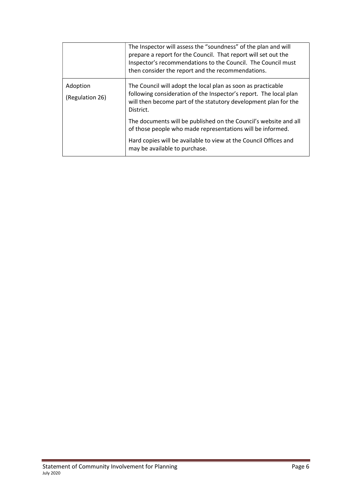|                             | The Inspector will assess the "soundness" of the plan and will<br>prepare a report for the Council. That report will set out the<br>Inspector's recommendations to the Council. The Council must<br>then consider the report and the recommendations. |
|-----------------------------|-------------------------------------------------------------------------------------------------------------------------------------------------------------------------------------------------------------------------------------------------------|
| Adoption<br>(Regulation 26) | The Council will adopt the local plan as soon as practicable<br>following consideration of the Inspector's report. The local plan<br>will then become part of the statutory development plan for the<br>District.                                     |
|                             | The documents will be published on the Council's website and all<br>of those people who made representations will be informed.                                                                                                                        |
|                             | Hard copies will be available to view at the Council Offices and<br>may be available to purchase.                                                                                                                                                     |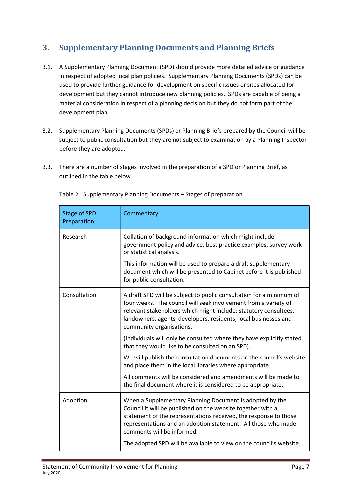# 3. Supplementary Planning Documents and Planning Briefs

- 3.1. A Supplementary Planning Document (SPD) should provide more detailed advice or guidance in respect of adopted local plan policies. Supplementary Planning Documents (SPDs) can be used to provide further guidance for development on specific issues or sites allocated for development but they cannot introduce new planning policies. SPDs are capable of being a material consideration in respect of a planning decision but they do not form part of the development plan.
- 3.2. Supplementary Planning Documents (SPDs) or Planning Briefs prepared by the Council will be subject to public consultation but they are not subject to examination by a Planning Inspector before they are adopted.
- 3.3. There are a number of stages involved in the preparation of a SPD or Planning Brief, as outlined in the table below.

| <b>Stage of SPD</b><br>Preparation | Commentary                                                                                                                                                                                                                                                                                                |
|------------------------------------|-----------------------------------------------------------------------------------------------------------------------------------------------------------------------------------------------------------------------------------------------------------------------------------------------------------|
| Research                           | Collation of background information which might include<br>government policy and advice, best practice examples, survey work<br>or statistical analysis.                                                                                                                                                  |
|                                    | This information will be used to prepare a draft supplementary<br>document which will be presented to Cabinet before it is published<br>for public consultation.                                                                                                                                          |
| Consultation                       | A draft SPD will be subject to public consultation for a minimum of<br>four weeks. The council will seek involvement from a variety of<br>relevant stakeholders which might include: statutory consultees,<br>landowners, agents, developers, residents, local businesses and<br>community organisations. |
|                                    | (Individuals will only be consulted where they have explicitly stated<br>that they would like to be consulted on an SPD).                                                                                                                                                                                 |
|                                    | We will publish the consultation documents on the council's website<br>and place them in the local libraries where appropriate.                                                                                                                                                                           |
|                                    | All comments will be considered and amendments will be made to<br>the final document where it is considered to be appropriate.                                                                                                                                                                            |
| Adoption                           | When a Supplementary Planning Document is adopted by the<br>Council it will be published on the website together with a<br>statement of the representations received, the response to those<br>representations and an adoption statement. All those who made<br>comments will be informed.                |
|                                    | The adopted SPD will be available to view on the council's website.                                                                                                                                                                                                                                       |

Table 2 : Supplementary Planning Documents – Stages of preparation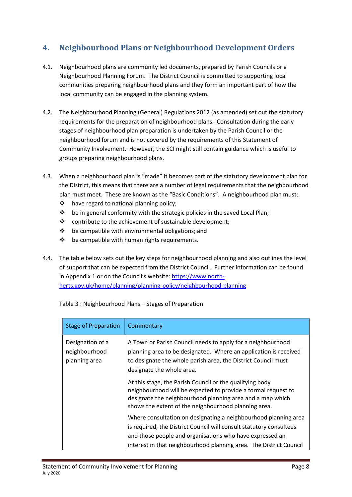# 4. Neighbourhood Plans or Neighbourhood Development Orders

- 4.1. Neighbourhood plans are community led documents, prepared by Parish Councils or a Neighbourhood Planning Forum. The District Council is committed to supporting local communities preparing neighbourhood plans and they form an important part of how the local community can be engaged in the planning system.
- 4.2. The Neighbourhood Planning (General) Regulations 2012 (as amended) set out the statutory requirements for the preparation of neighbourhood plans. Consultation during the early stages of neighbourhood plan preparation is undertaken by the Parish Council or the neighbourhood forum and is not covered by the requirements of this Statement of Community Involvement. However, the SCI might still contain guidance which is useful to groups preparing neighbourhood plans.
- 4.3. When a neighbourhood plan is "made" it becomes part of the statutory development plan for the District, this means that there are a number of legal requirements that the neighbourhood plan must meet. These are known as the "Basic Conditions". A neighbourhood plan must:
	- $\triangle$  have regard to national planning policy;
	- $\div$  be in general conformity with the strategic policies in the saved Local Plan;
	- $\mathbf{\hat{P}}$  contribute to the achievement of sustainable development;
	- $\div$  be compatible with environmental obligations: and
	- $\cdot \cdot$  be compatible with human rights requirements.
- 4.4. The table below sets out the key steps for neighbourhood planning and also outlines the level of support that can be expected from the District Council. Further information can be found in Appendix 1 or on the Council's website: https://www.north‐ herts.gov.uk/home/planning/planning‐policy/neighbourhood‐planning

| <b>Stage of Preparation</b>                        | Commentary                                                                                                                                                                                                                                     |
|----------------------------------------------------|------------------------------------------------------------------------------------------------------------------------------------------------------------------------------------------------------------------------------------------------|
| Designation of a<br>neighbourhood<br>planning area | A Town or Parish Council needs to apply for a neighbourhood<br>planning area to be designated. Where an application is received<br>to designate the whole parish area, the District Council must<br>designate the whole area.                  |
|                                                    | At this stage, the Parish Council or the qualifying body<br>neighbourhood will be expected to provide a formal request to<br>designate the neighbourhood planning area and a map which<br>shows the extent of the neighbourhood planning area. |
|                                                    | Where consultation on designating a neighbourhood planning area<br>is required, the District Council will consult statutory consultees<br>and those people and organisations who have expressed an                                             |
|                                                    | interest in that neighbourhood planning area. The District Council                                                                                                                                                                             |

Table 3 : Neighbourhood Plans – Stages of Preparation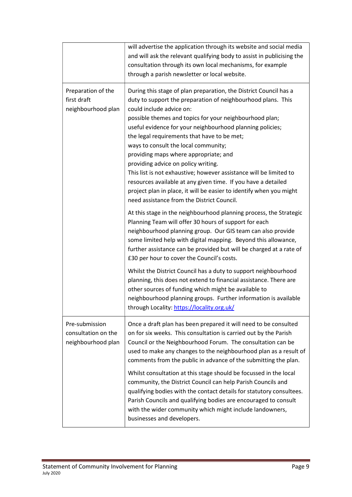|                                                             | will advertise the application through its website and social media<br>and will ask the relevant qualifying body to assist in publicising the<br>consultation through its own local mechanisms, for example<br>through a parish newsletter or local website.                                                                                                                                                                                                                                                                                                                                                                                                                                                                                                                                                                                                                                                                                                                                                                                                                                                                                                                                                                                                                                                                                                                                                                   |
|-------------------------------------------------------------|--------------------------------------------------------------------------------------------------------------------------------------------------------------------------------------------------------------------------------------------------------------------------------------------------------------------------------------------------------------------------------------------------------------------------------------------------------------------------------------------------------------------------------------------------------------------------------------------------------------------------------------------------------------------------------------------------------------------------------------------------------------------------------------------------------------------------------------------------------------------------------------------------------------------------------------------------------------------------------------------------------------------------------------------------------------------------------------------------------------------------------------------------------------------------------------------------------------------------------------------------------------------------------------------------------------------------------------------------------------------------------------------------------------------------------|
| Preparation of the<br>first draft<br>neighbourhood plan     | During this stage of plan preparation, the District Council has a<br>duty to support the preparation of neighbourhood plans. This<br>could include advice on:<br>possible themes and topics for your neighbourhood plan;<br>useful evidence for your neighbourhood planning policies;<br>the legal requirements that have to be met;<br>ways to consult the local community;<br>providing maps where appropriate; and<br>providing advice on policy writing.<br>This list is not exhaustive; however assistance will be limited to<br>resources available at any given time. If you have a detailed<br>project plan in place, it will be easier to identify when you might<br>need assistance from the District Council.<br>At this stage in the neighbourhood planning process, the Strategic<br>Planning Team will offer 30 hours of support for each<br>neighbourhood planning group. Our GIS team can also provide<br>some limited help with digital mapping. Beyond this allowance,<br>further assistance can be provided but will be charged at a rate of<br>£30 per hour to cover the Council's costs.<br>Whilst the District Council has a duty to support neighbourhood<br>planning, this does not extend to financial assistance. There are<br>other sources of funding which might be available to<br>neighbourhood planning groups. Further information is available<br>through Locality: https://locality.org.uk/ |
| Pre-submission<br>consultation on the<br>neighbourhood plan | Once a draft plan has been prepared it will need to be consulted<br>on for six weeks. This consultation is carried out by the Parish<br>Council or the Neighbourhood Forum. The consultation can be<br>used to make any changes to the neighbourhood plan as a result of<br>comments from the public in advance of the submitting the plan.<br>Whilst consultation at this stage should be focussed in the local<br>community, the District Council can help Parish Councils and<br>qualifying bodies with the contact details for statutory consultees.<br>Parish Councils and qualifying bodies are encouraged to consult<br>with the wider community which might include landowners,<br>businesses and developers.                                                                                                                                                                                                                                                                                                                                                                                                                                                                                                                                                                                                                                                                                                          |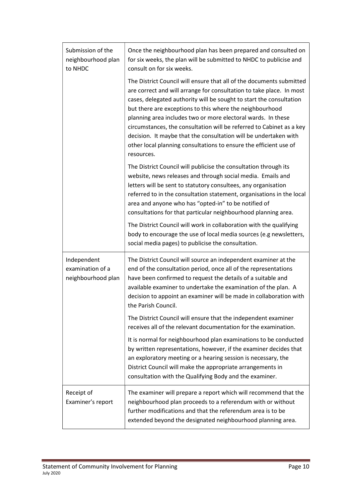| Submission of the<br>neighbourhood plan<br>to NHDC    | Once the neighbourhood plan has been prepared and consulted on<br>for six weeks, the plan will be submitted to NHDC to publicise and<br>consult on for six weeks.                                                                                                                                                                                                                                                                                                                                                                                                              |
|-------------------------------------------------------|--------------------------------------------------------------------------------------------------------------------------------------------------------------------------------------------------------------------------------------------------------------------------------------------------------------------------------------------------------------------------------------------------------------------------------------------------------------------------------------------------------------------------------------------------------------------------------|
|                                                       | The District Council will ensure that all of the documents submitted<br>are correct and will arrange for consultation to take place. In most<br>cases, delegated authority will be sought to start the consultation<br>but there are exceptions to this where the neighbourhood<br>planning area includes two or more electoral wards. In these<br>circumstances, the consultation will be referred to Cabinet as a key<br>decision. It maybe that the consultation will be undertaken with<br>other local planning consultations to ensure the efficient use of<br>resources. |
|                                                       | The District Council will publicise the consultation through its<br>website, news releases and through social media. Emails and<br>letters will be sent to statutory consultees, any organisation<br>referred to in the consultation statement, organisations in the local<br>area and anyone who has "opted-in" to be notified of<br>consultations for that particular neighbourhood planning area.                                                                                                                                                                           |
|                                                       | The District Council will work in collaboration with the qualifying<br>body to encourage the use of local media sources (e.g newsletters,<br>social media pages) to publicise the consultation.                                                                                                                                                                                                                                                                                                                                                                                |
| Independent<br>examination of a<br>neighbourhood plan | The District Council will source an independent examiner at the<br>end of the consultation period, once all of the representations<br>have been confirmed to request the details of a suitable and<br>available examiner to undertake the examination of the plan. A<br>decision to appoint an examiner will be made in collaboration with<br>the Parish Council.                                                                                                                                                                                                              |
|                                                       | The District Council will ensure that the independent examiner<br>receives all of the relevant documentation for the examination.                                                                                                                                                                                                                                                                                                                                                                                                                                              |
|                                                       | It is normal for neighbourhood plan examinations to be conducted<br>by written representations, however, if the examiner decides that<br>an exploratory meeting or a hearing session is necessary, the<br>District Council will make the appropriate arrangements in<br>consultation with the Qualifying Body and the examiner.                                                                                                                                                                                                                                                |
| Receipt of<br>Examiner's report                       | The examiner will prepare a report which will recommend that the<br>neighbourhood plan proceeds to a referendum with or without<br>further modifications and that the referendum area is to be<br>extended beyond the designated neighbourhood planning area.                                                                                                                                                                                                                                                                                                                  |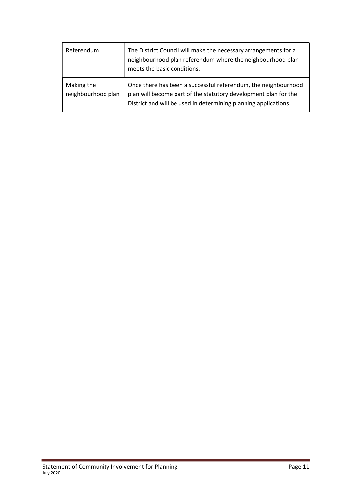| Referendum                       | The District Council will make the necessary arrangements for a<br>neighbourhood plan referendum where the neighbourhood plan<br>meets the basic conditions.                                         |
|----------------------------------|------------------------------------------------------------------------------------------------------------------------------------------------------------------------------------------------------|
| Making the<br>neighbourhood plan | Once there has been a successful referendum, the neighbourhood<br>plan will become part of the statutory development plan for the<br>District and will be used in determining planning applications. |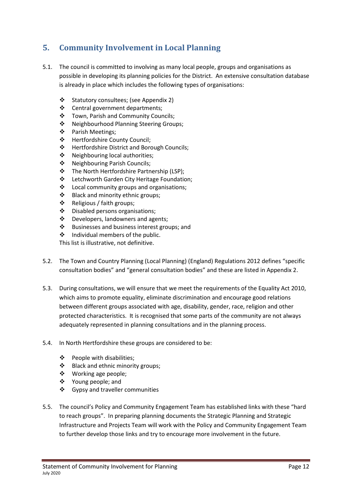# 5. Community Involvement in Local Planning

- 5.1. The council is committed to involving as many local people, groups and organisations as possible in developing its planning policies for the District. An extensive consultation database is already in place which includes the following types of organisations:
	- Statutory consultees; (see Appendix 2)
	- ❖ Central government departments;
	- ❖ Town, Parish and Community Councils;
	- ❖ Neighbourhood Planning Steering Groups;
	- ❖ Parish Meetings;
	- Hertfordshire County Council;
	- ❖ Hertfordshire District and Borough Councils:
	- ❖ Neighbouring local authorities:
	- ◆ Neighbouring Parish Councils;
	- The North Hertfordshire Partnership (LSP);
	- ❖ Letchworth Garden City Heritage Foundation;
	- ❖ Local community groups and organisations;
	- ❖ Black and minority ethnic groups;
	- Religious / faith groups;
	- Disabled persons organisations;
	- ❖ Developers, landowners and agents;
	- Businesses and business interest groups; and
	- $\div$  Individual members of the public.

This list is illustrative, not definitive.

- 5.2. The Town and Country Planning (Local Planning) (England) Regulations 2012 defines "specific consultation bodies" and "general consultation bodies" and these are listed in Appendix 2.
- 5.3. During consultations, we will ensure that we meet the requirements of the Equality Act 2010, which aims to promote equality, eliminate discrimination and encourage good relations between different groups associated with age, disability, gender, race, religion and other protected characteristics. It is recognised that some parts of the community are not always adequately represented in planning consultations and in the planning process.
- 5.4. In North Hertfordshire these groups are considered to be:
	- People with disabilities;
	- ❖ Black and ethnic minority groups;
	- Working age people;
	- ❖ Young people; and
	- ❖ Gypsy and traveller communities
- 5.5. The council's Policy and Community Engagement Team has established links with these "hard to reach groups". In preparing planning documents the Strategic Planning and Strategic Infrastructure and Projects Team will work with the Policy and Community Engagement Team to further develop those links and try to encourage more involvement in the future.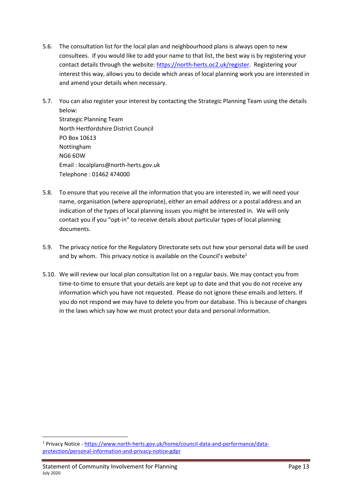- 5.6. The consultation list for the local plan and neighbourhood plans is always open to new consultees. If you would like to add your name to that list, the best way is by registering your contact details through the website: https://north‐herts.oc2.uk/register. Registering your interest this way, allows you to decide which areas of local planning work you are interested in and amend your details when necessary.
- 5.7. You can also register your interest by contacting the Strategic Planning Team using the details below: Strategic Planning Team North Hertfordshire District Council PO Box 10613 Nottingham NG6 6DW Email : localplans@north‐herts.gov.uk Telephone : 01462 474000
- 5.8. To ensure that you receive all the information that you are interested in, we will need your name, organisation (where appropriate), either an email address or a postal address and an indication of the types of local planning issues you might be interested in. We will only contact you if you "opt-in" to receive details about particular types of local planning documents.
- 5.9. The privacy notice for the Regulatory Directorate sets out how your personal data will be used and by whom. This privacy notice is available on the Council's website<sup>1</sup>
- 5.10. We will review our local plan consultation list on a regular basis. We may contact you from time-to-time to ensure that your details are kept up to date and that you do not receive any information which you have not requested. Please do not ignore these emails and letters. If you do not respond we may have to delete you from our database. This is because of changes in the laws which say how we must protect your data and personal information.

<sup>&</sup>lt;sup>1</sup> Privacy Notice - https://www.north-herts.gov.uk/home/council-data-and-performance/dataprotection/personal‐information‐and‐privacy‐notice‐gdpr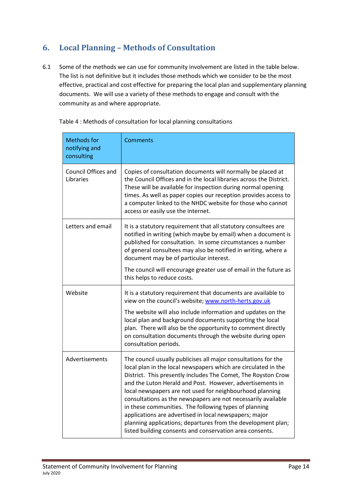# 6. Local Planning – Methods of Consultation

6.1 Some of the methods we can use for community involvement are listed in the table below. The list is not definitive but it includes those methods which we consider to be the most effective, practical and cost effective for preparing the local plan and supplementary planning documents. We will use a variety of these methods to engage and consult with the community as and where appropriate.

| <b>Methods for</b><br>notifying and<br>consulting | Comments                                                                                                                                                                                                                                                                                                                                                                                                                                                                                                                                                                                                                                   |
|---------------------------------------------------|--------------------------------------------------------------------------------------------------------------------------------------------------------------------------------------------------------------------------------------------------------------------------------------------------------------------------------------------------------------------------------------------------------------------------------------------------------------------------------------------------------------------------------------------------------------------------------------------------------------------------------------------|
| Council Offices and<br>Libraries                  | Copies of consultation documents will normally be placed at<br>the Council Offices and in the local libraries across the District.<br>These will be available for inspection during normal opening<br>times. As well as paper copies our reception provides access to<br>a computer linked to the NHDC website for those who cannot<br>access or easily use the internet.                                                                                                                                                                                                                                                                  |
| Letters and email                                 | It is a statutory requirement that all statutory consultees are<br>notified in writing (which maybe by email) when a document is<br>published for consultation. In some circumstances a number<br>of general consultees may also be notified in writing, where a<br>document may be of particular interest.                                                                                                                                                                                                                                                                                                                                |
|                                                   | The council will encourage greater use of email in the future as<br>this helps to reduce costs.                                                                                                                                                                                                                                                                                                                                                                                                                                                                                                                                            |
| Website                                           | It is a statutory requirement that documents are available to<br>view on the council's website; www.north-herts.gov.uk                                                                                                                                                                                                                                                                                                                                                                                                                                                                                                                     |
|                                                   | The website will also include information and updates on the<br>local plan and background documents supporting the local<br>plan. There will also be the opportunity to comment directly<br>on consultation documents through the website during open<br>consultation periods.                                                                                                                                                                                                                                                                                                                                                             |
| Advertisements                                    | The council usually publicises all major consultations for the<br>local plan in the local newspapers which are circulated in the<br>District. This presently includes The Comet, The Royston Crow<br>and the Luton Herald and Post. However, advertisements in<br>local newspapers are not used for neighbourhood planning<br>consultations as the newspapers are not necessarily available<br>in these communities. The following types of planning<br>applications are advertised in local newspapers; major<br>planning applications; departures from the development plan;<br>listed building consents and conservation area consents. |

Table 4 : Methods of consultation for local planning consultations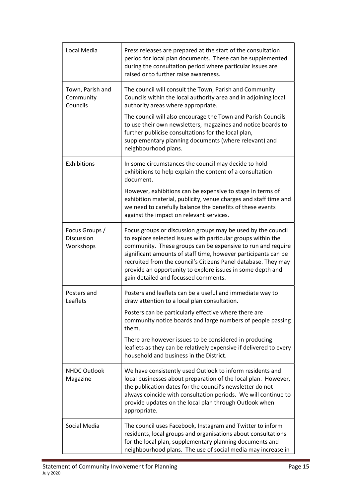| Local Media                                      | Press releases are prepared at the start of the consultation<br>period for local plan documents. These can be supplemented<br>during the consultation period where particular issues are<br>raised or to further raise awareness.                                                                                                                                                                                                     |
|--------------------------------------------------|---------------------------------------------------------------------------------------------------------------------------------------------------------------------------------------------------------------------------------------------------------------------------------------------------------------------------------------------------------------------------------------------------------------------------------------|
| Town, Parish and<br>Community<br>Councils        | The council will consult the Town, Parish and Community<br>Councils within the local authority area and in adjoining local<br>authority areas where appropriate.                                                                                                                                                                                                                                                                      |
|                                                  | The council will also encourage the Town and Parish Councils<br>to use their own newsletters, magazines and notice boards to<br>further publicise consultations for the local plan,<br>supplementary planning documents (where relevant) and<br>neighbourhood plans.                                                                                                                                                                  |
| Exhibitions                                      | In some circumstances the council may decide to hold<br>exhibitions to help explain the content of a consultation<br>document.                                                                                                                                                                                                                                                                                                        |
|                                                  | However, exhibitions can be expensive to stage in terms of<br>exhibition material, publicity, venue charges and staff time and<br>we need to carefully balance the benefits of these events<br>against the impact on relevant services.                                                                                                                                                                                               |
| Focus Groups /<br><b>Discussion</b><br>Workshops | Focus groups or discussion groups may be used by the council<br>to explore selected issues with particular groups within the<br>community. These groups can be expensive to run and require<br>significant amounts of staff time, however participants can be<br>recruited from the council's Citizens Panel database. They may<br>provide an opportunity to explore issues in some depth and<br>gain detailed and focussed comments. |
| Posters and<br>Leaflets                          | Posters and leaflets can be a useful and immediate way to<br>draw attention to a local plan consultation.                                                                                                                                                                                                                                                                                                                             |
|                                                  | Posters can be particularly effective where there are<br>community notice boards and large numbers of people passing<br>them.                                                                                                                                                                                                                                                                                                         |
|                                                  | There are however issues to be considered in producing<br>leaflets as they can be relatively expensive if delivered to every<br>household and business in the District.                                                                                                                                                                                                                                                               |
| <b>NHDC Outlook</b><br>Magazine                  | We have consistently used Outlook to inform residents and<br>local businesses about preparation of the local plan. However,<br>the publication dates for the council's newsletter do not<br>always coincide with consultation periods. We will continue to<br>provide updates on the local plan through Outlook when<br>appropriate.                                                                                                  |
| Social Media                                     | The council uses Facebook, Instagram and Twitter to inform<br>residents, local groups and organisations about consultations<br>for the local plan, supplementary planning documents and<br>neighbourhood plans. The use of social media may increase in                                                                                                                                                                               |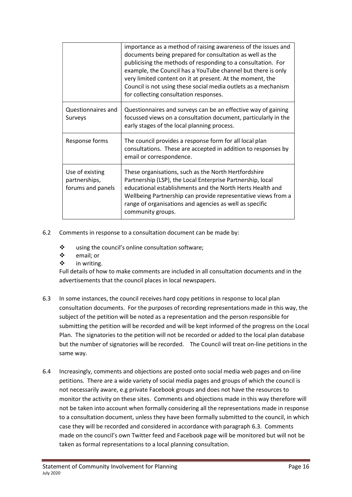|                                                       | importance as a method of raising awareness of the issues and<br>documents being prepared for consultation as well as the<br>publicising the methods of responding to a consultation. For<br>example, the Council has a YouTube channel but there is only<br>very limited content on it at present. At the moment, the<br>Council is not using these social media outlets as a mechanism<br>for collecting consultation responses. |
|-------------------------------------------------------|------------------------------------------------------------------------------------------------------------------------------------------------------------------------------------------------------------------------------------------------------------------------------------------------------------------------------------------------------------------------------------------------------------------------------------|
| Questionnaires and<br>Surveys                         | Questionnaires and surveys can be an effective way of gaining<br>focussed views on a consultation document, particularly in the<br>early stages of the local planning process.                                                                                                                                                                                                                                                     |
| Response forms                                        | The council provides a response form for all local plan<br>consultations. These are accepted in addition to responses by<br>email or correspondence.                                                                                                                                                                                                                                                                               |
| Use of existing<br>partnerships,<br>forums and panels | These organisations, such as the North Hertfordshire<br>Partnership (LSP), the Local Enterprise Partnership, local<br>educational establishments and the North Herts Health and<br>Wellbeing Partnership can provide representative views from a<br>range of organisations and agencies as well as specific<br>community groups.                                                                                                   |

- 6.2 Comments in response to a consultation document can be made by:
	- using the council's online consultation software;
	- ❖ email; or
	- ❖ in writing.

Full details of how to make comments are included in all consultation documents and in the advertisements that the council places in local newspapers.

- 6.3 In some instances, the council receives hard copy petitions in response to local plan consultation documents. For the purposes of recording representations made in this way, the subject of the petition will be noted as a representation and the person responsible for submitting the petition will be recorded and will be kept informed of the progress on the Local Plan. The signatories to the petition will not be recorded or added to the local plan database but the number of signatories will be recorded. The Council will treat on-line petitions in the same way.
- 6.4 Increasingly, comments and objections are posted onto social media web pages and on‐line petitions. There are a wide variety of social media pages and groups of which the council is not necessarily aware, e.g private Facebook groups and does not have the resources to monitor the activity on these sites. Comments and objections made in this way therefore will not be taken into account when formally considering all the representations made in response to a consultation document, unless they have been formally submitted to the council, in which case they will be recorded and considered in accordance with paragraph 6.3. Comments made on the council's own Twitter feed and Facebook page will be monitored but will not be taken as formal representations to a local planning consultation.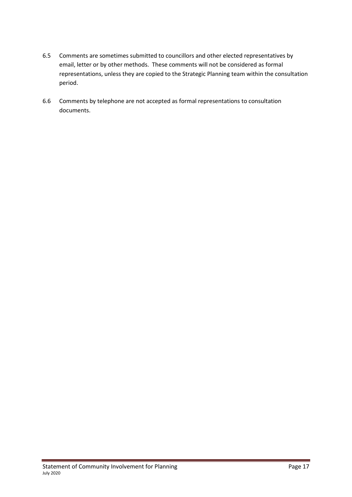- 6.5 Comments are sometimes submitted to councillors and other elected representatives by email, letter or by other methods. These comments will not be considered as formal representations, unless they are copied to the Strategic Planning team within the consultation period.
- 6.6 Comments by telephone are not accepted as formal representations to consultation documents.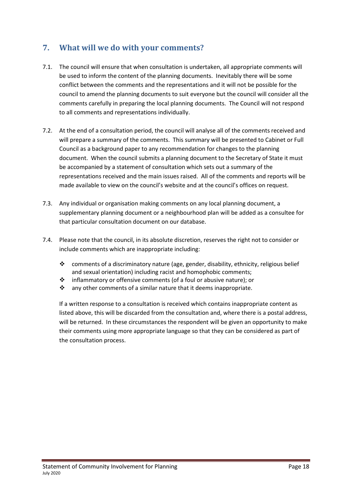## 7. What will we do with your comments?

- 7.1. The council will ensure that when consultation is undertaken, all appropriate comments will be used to inform the content of the planning documents. Inevitably there will be some conflict between the comments and the representations and it will not be possible for the council to amend the planning documents to suit everyone but the council will consider all the comments carefully in preparing the local planning documents. The Council will not respond to all comments and representations individually.
- 7.2. At the end of a consultation period, the council will analyse all of the comments received and will prepare a summary of the comments. This summary will be presented to Cabinet or Full Council as a background paper to any recommendation for changes to the planning document. When the council submits a planning document to the Secretary of State it must be accompanied by a statement of consultation which sets out a summary of the representations received and the main issues raised. All of the comments and reports will be made available to view on the council's website and at the council's offices on request.
- 7.3. Any individual or organisation making comments on any local planning document, a supplementary planning document or a neighbourhood plan will be added as a consultee for that particular consultation document on our database.
- 7.4. Please note that the council, in its absolute discretion, reserves the right not to consider or include comments which are inappropriate including:
	- comments of a discriminatory nature (age, gender, disability, ethnicity, religious belief and sexual orientation) including racist and homophobic comments;
	- $\clubsuit$  inflammatory or offensive comments (of a foul or abusive nature); or
	- $\mathbf{\hat{P}}$  any other comments of a similar nature that it deems inappropriate.

If a written response to a consultation is received which contains inappropriate content as listed above, this will be discarded from the consultation and, where there is a postal address, will be returned. In these circumstances the respondent will be given an opportunity to make their comments using more appropriate language so that they can be considered as part of the consultation process.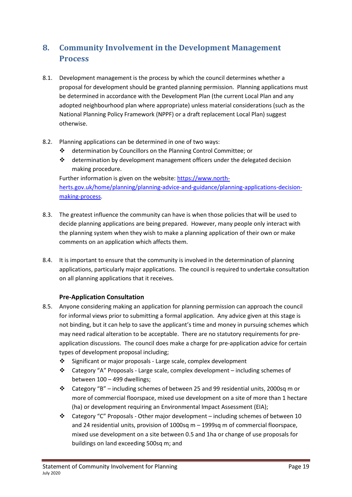# 8. Community Involvement in the Development Management Process

- 8.1. Development management is the process by which the council determines whether a proposal for development should be granted planning permission. Planning applications must be determined in accordance with the Development Plan (the current Local Plan and any adopted neighbourhood plan where appropriate) unless material considerations (such as the National Planning Policy Framework (NPPF) or a draft replacement Local Plan) suggest otherwise.
- 8.2. Planning applications can be determined in one of two ways:
	- determination by Councillors on the Planning Control Committee; or
	- $\div$  determination by development management officers under the delegated decision making procedure.

Further information is given on the website: https://www.north‐ herts.gov.uk/home/planning/planning-advice-and-guidance/planning-applications-decisionmaking‐process.

- 8.3. The greatest influence the community can have is when those policies that will be used to decide planning applications are being prepared. However, many people only interact with the planning system when they wish to make a planning application of their own or make comments on an application which affects them.
- 8.4. It is important to ensure that the community is involved in the determination of planning applications, particularly major applications. The council is required to undertake consultation on all planning applications that it receives.

## Pre-Application Consultation

- 8.5. Anyone considering making an application for planning permission can approach the council for informal views prior to submitting a formal application. Any advice given at this stage is not binding, but it can help to save the applicant's time and money in pursuing schemes which may need radical alteration to be acceptable. There are no statutory requirements for pre‐ application discussions. The council does make a charge for pre‐application advice for certain types of development proposal including;
	- Significant or major proposals ‐ Large scale, complex development
	- Category "A" Proposals ‐ Large scale, complex development including schemes of between 100 – 499 dwellings;
	- Category "B" including schemes of between 25 and 99 residential units, 2000sq m or more of commercial floorspace, mixed use development on a site of more than 1 hectare (ha) or development requiring an Environmental Impact Assessment (EIA);
	- Category "C" Proposals ‐ Other major development including schemes of between 10 and 24 residential units, provision of 1000sq m – 1999sq m of commercial floorspace, mixed use development on a site between 0.5 and 1ha or change of use proposals for buildings on land exceeding 500sq m; and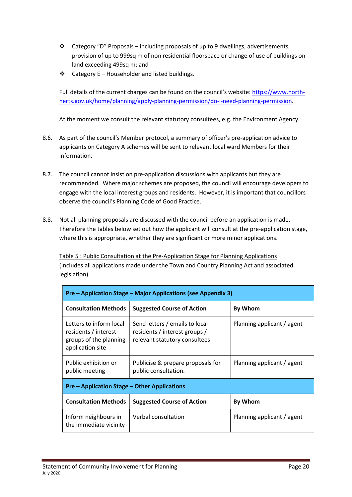- Category "D" Proposals including proposals of up to 9 dwellings, advertisements, provision of up to 999sq m of non residential floorspace or change of use of buildings on land exceeding 499sq m; and
- Category E Householder and listed buildings.

Full details of the current charges can be found on the council's website: https://www.north‐ herts.gov.uk/home/planning/apply-planning-permission/do-i-need-planning-permission.

At the moment we consult the relevant statutory consultees, e.g. the Environment Agency.

- 8.6. As part of the council's Member protocol, a summary of officer's pre‐application advice to applicants on Category A schemes will be sent to relevant local ward Members for their information.
- 8.7. The council cannot insist on pre‐application discussions with applicants but they are recommended. Where major schemes are proposed, the council will encourage developers to engage with the local interest groups and residents. However, it is important that councillors observe the council's Planning Code of Good Practice.
- 8.8. Not all planning proposals are discussed with the council before an application is made. Therefore the tables below set out how the applicant will consult at the pre‐application stage, where this is appropriate, whether they are significant or more minor applications.

Table 5 : Public Consultation at the Pre‐Application Stage for Planning Applications (Includes all applications made under the Town and Country Planning Act and associated legislation).

| Pre – Application Stage – Major Applications (see Appendix 3)                                 |                                                                                                  |                            |  |  |
|-----------------------------------------------------------------------------------------------|--------------------------------------------------------------------------------------------------|----------------------------|--|--|
| <b>Consultation Methods</b>                                                                   | <b>Suggested Course of Action</b>                                                                | <b>By Whom</b>             |  |  |
| Letters to inform local<br>residents / interest<br>groups of the planning<br>application site | Send letters / emails to local<br>residents / interest groups /<br>relevant statutory consultees | Planning applicant / agent |  |  |
| Public exhibition or<br>public meeting                                                        | Publicise & prepare proposals for<br>public consultation.                                        | Planning applicant / agent |  |  |
| <b>Pre – Application Stage – Other Applications</b>                                           |                                                                                                  |                            |  |  |
| <b>Consultation Methods</b>                                                                   | <b>Suggested Course of Action</b>                                                                | <b>By Whom</b>             |  |  |
| Inform neighbours in<br>the immediate vicinity                                                | Verbal consultation                                                                              | Planning applicant / agent |  |  |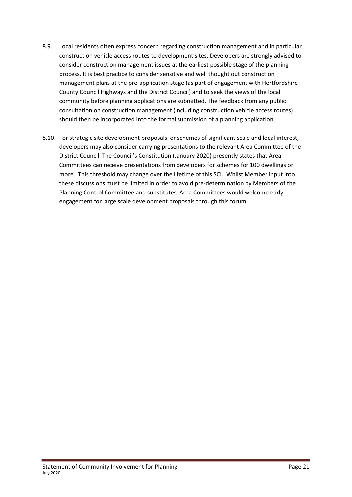- 8.9. Local residents often express concern regarding construction management and in particular construction vehicle access routes to development sites. Developers are strongly advised to consider construction management issues at the earliest possible stage of the planning process. It is best practice to consider sensitive and well thought out construction management plans at the pre‐application stage (as part of engagement with Hertfordshire County Council Highways and the District Council) and to seek the views of the local community before planning applications are submitted. The feedback from any public consultation on construction management (including construction vehicle access routes) should then be incorporated into the formal submission of a planning application.
- 8.10. For strategic site development proposals or schemes of significant scale and local interest, developers may also consider carrying presentations to the relevant Area Committee of the District Council The Council's Constitution (January 2020) presently states that Area Committees can receive presentations from developers for schemes for 100 dwellings or more. This threshold may change over the lifetime of this SCI. Whilst Member input into these discussions must be limited in order to avoid pre‐determination by Members of the Planning Control Committee and substitutes, Area Committees would welcome early engagement for large scale development proposals through this forum.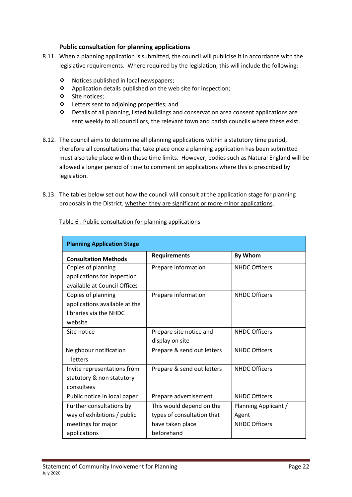## Public consultation for planning applications

- 8.11. When a planning application is submitted, the council will publicise it in accordance with the legislative requirements. Where required by the legislation, this will include the following:
	- Notices published in local newspapers;
	- ❖ Application details published on the web site for inspection;
	- Site notices;
	- Letters sent to adjoining properties; and
	- Details of all planning, listed buildings and conservation area consent applications are sent weekly to all councillors, the relevant town and parish councils where these exist.
- 8.12. The council aims to determine all planning applications within a statutory time period, therefore all consultations that take place once a planning application has been submitted must also take place within these time limits. However, bodies such as Natural England will be allowed a longer period of time to comment on applications where this is prescribed by legislation.
- 8.13. The tables below set out how the council will consult at the application stage for planning proposals in the District, whether they are significant or more minor applications.

| <b>Planning Application Stage</b> |                            |                      |  |  |
|-----------------------------------|----------------------------|----------------------|--|--|
| <b>Consultation Methods</b>       | <b>Requirements</b>        | By Whom              |  |  |
| Copies of planning                | Prepare information        | <b>NHDC Officers</b> |  |  |
| applications for inspection       |                            |                      |  |  |
| available at Council Offices      |                            |                      |  |  |
| Copies of planning                | Prepare information        | <b>NHDC Officers</b> |  |  |
| applications available at the     |                            |                      |  |  |
| libraries via the NHDC            |                            |                      |  |  |
| website                           |                            |                      |  |  |
| Site notice                       | Prepare site notice and    | <b>NHDC Officers</b> |  |  |
|                                   | display on site            |                      |  |  |
| Neighbour notification            | Prepare & send out letters | <b>NHDC Officers</b> |  |  |
| letters                           |                            |                      |  |  |
| Invite representations from       | Prepare & send out letters | <b>NHDC Officers</b> |  |  |
| statutory & non statutory         |                            |                      |  |  |
| consultees                        |                            |                      |  |  |
| Public notice in local paper      | Prepare advertisement      | <b>NHDC Officers</b> |  |  |
| Further consultations by          | This would depend on the   | Planning Applicant / |  |  |
| way of exhibitions / public       | types of consultation that | Agent                |  |  |
| meetings for major                | have taken place           | <b>NHDC Officers</b> |  |  |
| applications                      | beforehand                 |                      |  |  |

Table 6 : Public consultation for planning applications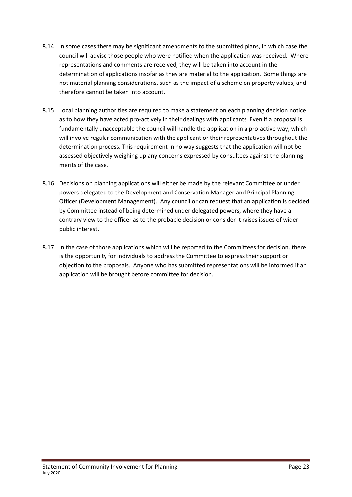- 8.14. In some cases there may be significant amendments to the submitted plans, in which case the council will advise those people who were notified when the application was received. Where representations and comments are received, they will be taken into account in the determination of applications insofar as they are material to the application. Some things are not material planning considerations, such as the impact of a scheme on property values, and therefore cannot be taken into account.
- 8.15. Local planning authorities are required to make a statement on each planning decision notice as to how they have acted pro-actively in their dealings with applicants. Even if a proposal is fundamentally unacceptable the council will handle the application in a pro-active way, which will involve regular communication with the applicant or their representatives throughout the determination process. This requirement in no way suggests that the application will not be assessed objectively weighing up any concerns expressed by consultees against the planning merits of the case.
- 8.16. Decisions on planning applications will either be made by the relevant Committee or under powers delegated to the Development and Conservation Manager and Principal Planning Officer (Development Management). Any councillor can request that an application is decided by Committee instead of being determined under delegated powers, where they have a contrary view to the officer as to the probable decision or consider it raises issues of wider public interest.
- 8.17. In the case of those applications which will be reported to the Committees for decision, there is the opportunity for individuals to address the Committee to express their support or objection to the proposals. Anyone who has submitted representations will be informed if an application will be brought before committee for decision.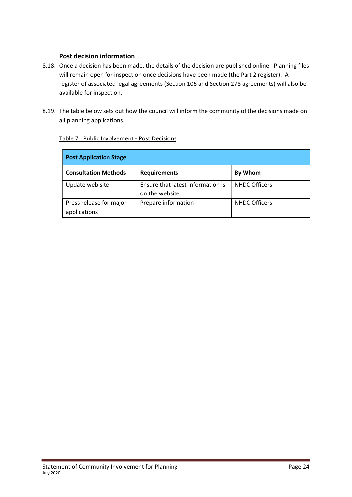## Post decision information

- 8.18. Once a decision has been made, the details of the decision are published online. Planning files will remain open for inspection once decisions have been made (the Part 2 register). A register of associated legal agreements (Section 106 and Section 278 agreements) will also be available for inspection.
- 8.19. The table below sets out how the council will inform the community of the decisions made on all planning applications.

| <b>Post Application Stage</b>           |                                                     |                      |  |  |
|-----------------------------------------|-----------------------------------------------------|----------------------|--|--|
| <b>Consultation Methods</b>             | <b>Requirements</b>                                 | <b>By Whom</b>       |  |  |
| Update web site                         | Ensure that latest information is<br>on the website | <b>NHDC Officers</b> |  |  |
| Press release for major<br>applications | Prepare information                                 | <b>NHDC Officers</b> |  |  |

## Table 7 : Public Involvement ‐ Post Decisions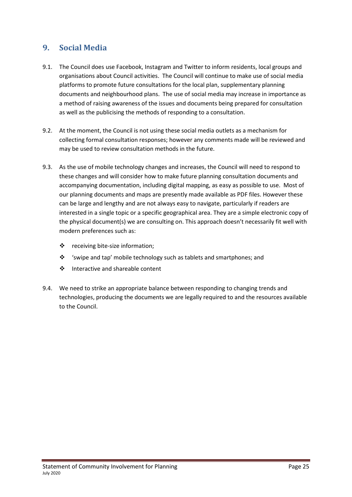## 9. Social Media

- 9.1. The Council does use Facebook, Instagram and Twitter to inform residents, local groups and organisations about Council activities. The Council will continue to make use of social media platforms to promote future consultations for the local plan, supplementary planning documents and neighbourhood plans. The use of social media may increase in importance as a method of raising awareness of the issues and documents being prepared for consultation as well as the publicising the methods of responding to a consultation.
- 9.2. At the moment, the Council is not using these social media outlets as a mechanism for collecting formal consultation responses; however any comments made will be reviewed and may be used to review consultation methods in the future.
- 9.3. As the use of mobile technology changes and increases, the Council will need to respond to these changes and will consider how to make future planning consultation documents and accompanying documentation, including digital mapping, as easy as possible to use. Most of our planning documents and maps are presently made available as PDF files. However these can be large and lengthy and are not always easy to navigate, particularly if readers are interested in a single topic or a specific geographical area. They are a simple electronic copy of the physical document(s) we are consulting on. This approach doesn't necessarily fit well with modern preferences such as:
	- receiving bite‐size information;
	- 'swipe and tap' mobile technology such as tablets and smartphones; and
	- ❖ Interactive and shareable content
- 9.4. We need to strike an appropriate balance between responding to changing trends and technologies, producing the documents we are legally required to and the resources available to the Council.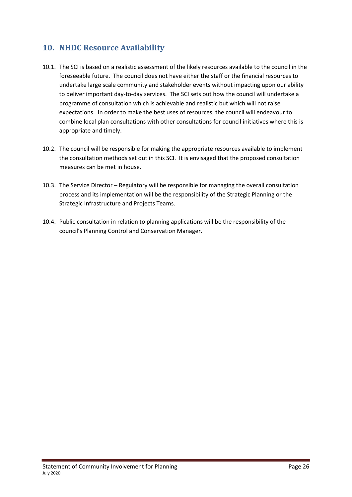## 10. NHDC Resource Availability

- 10.1. The SCI is based on a realistic assessment of the likely resources available to the council in the foreseeable future. The council does not have either the staff or the financial resources to undertake large scale community and stakeholder events without impacting upon our ability to deliver important day‐to‐day services. The SCI sets out how the council will undertake a programme of consultation which is achievable and realistic but which will not raise expectations. In order to make the best uses of resources, the council will endeavour to combine local plan consultations with other consultations for council initiatives where this is appropriate and timely.
- 10.2. The council will be responsible for making the appropriate resources available to implement the consultation methods set out in this SCI. It is envisaged that the proposed consultation measures can be met in house.
- 10.3. The Service Director Regulatory will be responsible for managing the overall consultation process and its implementation will be the responsibility of the Strategic Planning or the Strategic Infrastructure and Projects Teams.
- 10.4. Public consultation in relation to planning applications will be the responsibility of the council's Planning Control and Conservation Manager.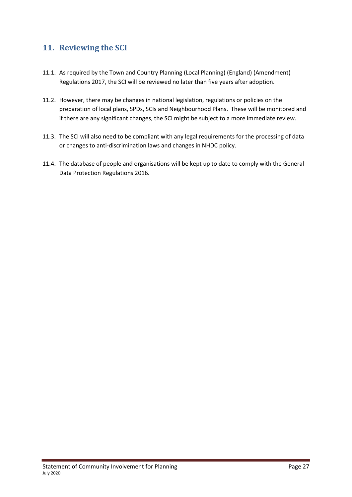## 11. Reviewing the SCI

- 11.1. As required by the Town and Country Planning (Local Planning) (England) (Amendment) Regulations 2017, the SCI will be reviewed no later than five years after adoption.
- 11.2. However, there may be changes in national legislation, regulations or policies on the preparation of local plans, SPDs, SCIs and Neighbourhood Plans. These will be monitored and if there are any significant changes, the SCI might be subject to a more immediate review.
- 11.3. The SCI will also need to be compliant with any legal requirements for the processing of data or changes to anti‐discrimination laws and changes in NHDC policy.
- 11.4. The database of people and organisations will be kept up to date to comply with the General Data Protection Regulations 2016.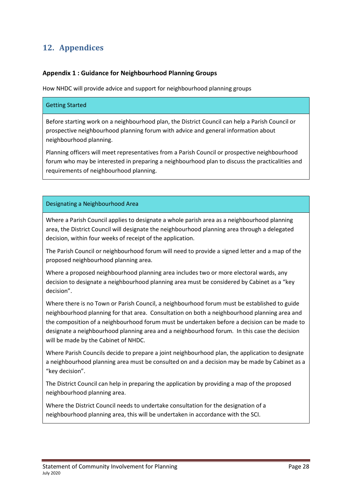# 12. Appendices

## Appendix 1 : Guidance for Neighbourhood Planning Groups

How NHDC will provide advice and support for neighbourhood planning groups

#### Getting Started

Before starting work on a neighbourhood plan, the District Council can help a Parish Council or prospective neighbourhood planning forum with advice and general information about neighbourhood planning.

Planning officers will meet representatives from a Parish Council or prospective neighbourhood forum who may be interested in preparing a neighbourhood plan to discuss the practicalities and requirements of neighbourhood planning.

## Designating a Neighbourhood Area

Where a Parish Council applies to designate a whole parish area as a neighbourhood planning area, the District Council will designate the neighbourhood planning area through a delegated decision, within four weeks of receipt of the application.

The Parish Council or neighbourhood forum will need to provide a signed letter and a map of the proposed neighbourhood planning area.

Where a proposed neighbourhood planning area includes two or more electoral wards, any decision to designate a neighbourhood planning area must be considered by Cabinet as a "key decision".

Where there is no Town or Parish Council, a neighbourhood forum must be established to guide neighbourhood planning for that area. Consultation on both a neighbourhood planning area and the composition of a neighbourhood forum must be undertaken before a decision can be made to designate a neighbourhood planning area and a neighbourhood forum. In this case the decision will be made by the Cabinet of NHDC.

Where Parish Councils decide to prepare a joint neighbourhood plan, the application to designate a neighbourhood planning area must be consulted on and a decision may be made by Cabinet as a "key decision".

The District Council can help in preparing the application by providing a map of the proposed neighbourhood planning area.

Where the District Council needs to undertake consultation for the designation of a neighbourhood planning area, this will be undertaken in accordance with the SCI.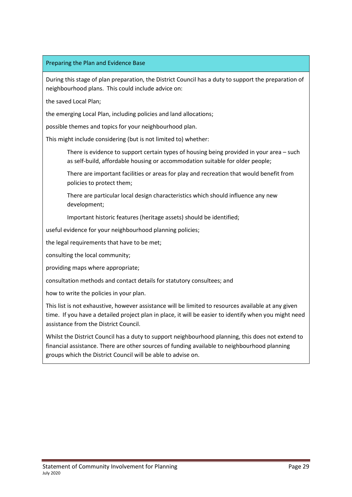#### Preparing the Plan and Evidence Base

During this stage of plan preparation, the District Council has a duty to support the preparation of neighbourhood plans. This could include advice on:

the saved Local Plan;

the emerging Local Plan, including policies and land allocations;

possible themes and topics for your neighbourhood plan.

This might include considering (but is not limited to) whether:

There is evidence to support certain types of housing being provided in your area – such as self‐build, affordable housing or accommodation suitable for older people;

There are important facilities or areas for play and recreation that would benefit from policies to protect them;

There are particular local design characteristics which should influence any new development;

Important historic features (heritage assets) should be identified;

useful evidence for your neighbourhood planning policies;

the legal requirements that have to be met;

consulting the local community;

providing maps where appropriate;

consultation methods and contact details for statutory consultees; and

how to write the policies in your plan.

This list is not exhaustive, however assistance will be limited to resources available at any given time. If you have a detailed project plan in place, it will be easier to identify when you might need assistance from the District Council.

Whilst the District Council has a duty to support neighbourhood planning, this does not extend to financial assistance. There are other sources of funding available to neighbourhood planning groups which the District Council will be able to advise on.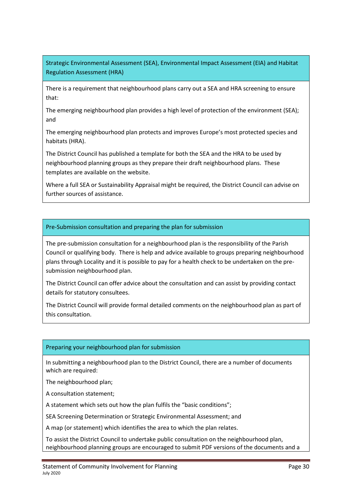Strategic Environmental Assessment (SEA), Environmental Impact Assessment (EIA) and Habitat Regulation Assessment (HRA)

There is a requirement that neighbourhood plans carry out a SEA and HRA screening to ensure that:

The emerging neighbourhood plan provides a high level of protection of the environment (SEA); and

The emerging neighbourhood plan protects and improves Europe's most protected species and habitats (HRA).

The District Council has published a template for both the SEA and the HRA to be used by neighbourhood planning groups as they prepare their draft neighbourhood plans. These templates are available on the website.

Where a full SEA or Sustainability Appraisal might be required, the District Council can advise on further sources of assistance.

## Pre‐Submission consultation and preparing the plan for submission

The pre‐submission consultation for a neighbourhood plan is the responsibility of the Parish Council or qualifying body. There is help and advice available to groups preparing neighbourhood plans through Locality and it is possible to pay for a health check to be undertaken on the pre‐ submission neighbourhood plan.

The District Council can offer advice about the consultation and can assist by providing contact details for statutory consultees.

The District Council will provide formal detailed comments on the neighbourhood plan as part of this consultation.

## Preparing your neighbourhood plan for submission

In submitting a neighbourhood plan to the District Council, there are a number of documents which are required:

The neighbourhood plan;

A consultation statement;

A statement which sets out how the plan fulfils the "basic conditions";

SEA Screening Determination or Strategic Environmental Assessment; and

A map (or statement) which identifies the area to which the plan relates.

To assist the District Council to undertake public consultation on the neighbourhood plan, neighbourhood planning groups are encouraged to submit PDF versions of the documents and a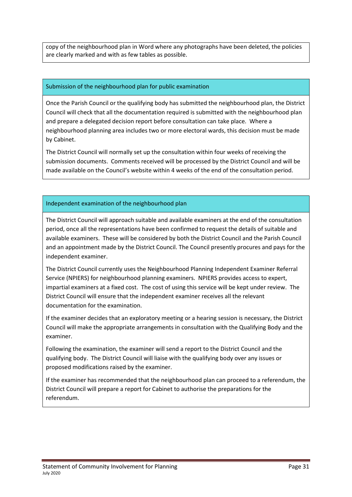copy of the neighbourhood plan in Word where any photographs have been deleted, the policies are clearly marked and with as few tables as possible.

#### Submission of the neighbourhood plan for public examination

Once the Parish Council or the qualifying body has submitted the neighbourhood plan, the District Council will check that all the documentation required is submitted with the neighbourhood plan and prepare a delegated decision report before consultation can take place. Where a neighbourhood planning area includes two or more electoral wards, this decision must be made by Cabinet.

The District Council will normally set up the consultation within four weeks of receiving the submission documents. Comments received will be processed by the District Council and will be made available on the Council's website within 4 weeks of the end of the consultation period.

## Independent examination of the neighbourhood plan

The District Council will approach suitable and available examiners at the end of the consultation period, once all the representations have been confirmed to request the details of suitable and available examiners. These will be considered by both the District Council and the Parish Council and an appointment made by the District Council. The Council presently procures and pays for the independent examiner.

The District Council currently uses the Neighbourhood Planning Independent Examiner Referral Service (NPIERS) for neighbourhood planning examiners. NPIERS provides access to expert, impartial examiners at a fixed cost. The cost of using this service will be kept under review. The District Council will ensure that the independent examiner receives all the relevant documentation for the examination.

If the examiner decides that an exploratory meeting or a hearing session is necessary, the District Council will make the appropriate arrangements in consultation with the Qualifying Body and the examiner.

Following the examination, the examiner will send a report to the District Council and the qualifying body. The District Council will liaise with the qualifying body over any issues or proposed modifications raised by the examiner.

If the examiner has recommended that the neighbourhood plan can proceed to a referendum, the District Council will prepare a report for Cabinet to authorise the preparations for the referendum.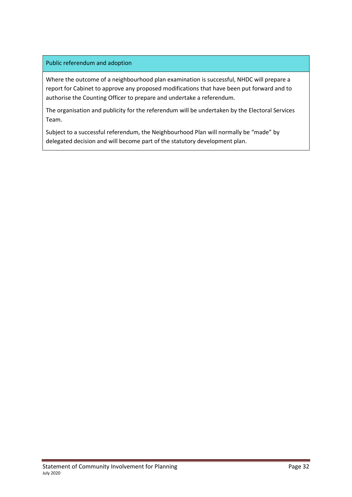## Public referendum and adoption

Where the outcome of a neighbourhood plan examination is successful, NHDC will prepare a report for Cabinet to approve any proposed modifications that have been put forward and to authorise the Counting Officer to prepare and undertake a referendum.

The organisation and publicity for the referendum will be undertaken by the Electoral Services Team.

Subject to a successful referendum, the Neighbourhood Plan will normally be "made" by delegated decision and will become part of the statutory development plan.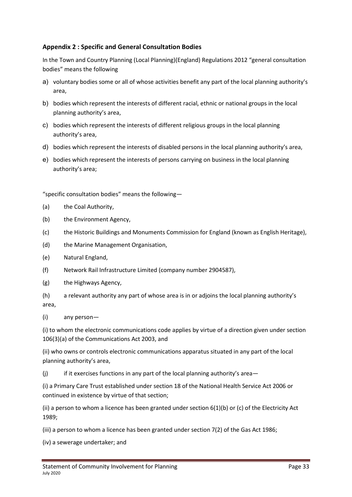## Appendix 2 : Specific and General Consultation Bodies

In the Town and Country Planning (Local Planning)(England) Regulations 2012 "general consultation bodies" means the following

- a) voluntary bodies some or all of whose activities benefit any part of the local planning authority's area,
- b) bodies which represent the interests of different racial, ethnic or national groups in the local planning authority's area,
- c) bodies which represent the interests of different religious groups in the local planning authority's area,
- d) bodies which represent the interests of disabled persons in the local planning authority's area,
- e) bodies which represent the interests of persons carrying on business in the local planning authority's area;

"specific consultation bodies" means the following—

- (a) the Coal Authority,
- (b) the Environment Agency,
- (c) the Historic Buildings and Monuments Commission for England (known as English Heritage),
- (d) the Marine Management Organisation,
- (e) Natural England,
- (f) Network Rail Infrastructure Limited (company number 2904587),
- (g) the Highways Agency,
- (h) a relevant authority any part of whose area is in or adjoins the local planning authority's area,
- (i) any person—

(i) to whom the electronic communications code applies by virtue of a direction given under section 106(3)(a) of the Communications Act 2003, and

(ii) who owns or controls electronic communications apparatus situated in any part of the local planning authority's area,

(j) if it exercises functions in any part of the local planning authority's area—

(i) a Primary Care Trust established under section 18 of the National Health Service Act 2006 or continued in existence by virtue of that section;

(ii) a person to whom a licence has been granted under section 6(1)(b) or (c) of the Electricity Act 1989;

(iii) a person to whom a licence has been granted under section 7(2) of the Gas Act 1986;

(iv) a sewerage undertaker; and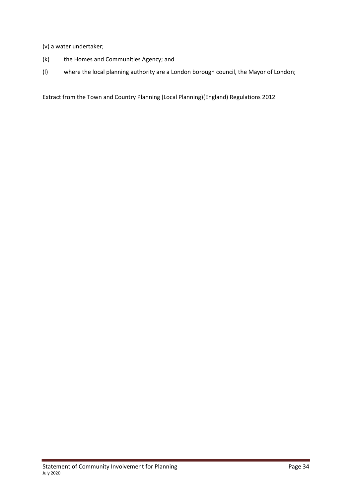(v) a water undertaker;

- (k) the Homes and Communities Agency; and
- (l) where the local planning authority are a London borough council, the Mayor of London;

Extract from the Town and Country Planning (Local Planning)(England) Regulations 2012